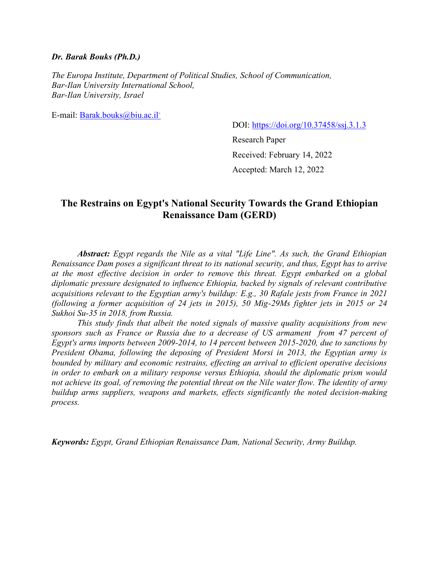#### *Dr. Barak Bouks (Ph.D.)*

*The Europa Institute, Department of Political Studies, School of Communication, Bar-Ilan University International School, Bar-Ilan University, Israel*

E-mail: [Barak.bouks@biu.ac.il](mailto:Barak.bouks@biu.ac.il%60)[`](mailto:Barak.bouks@biu.ac.il%60)

DOI:<https://doi.org/10.37458/ssj.3.1.3>

Research Paper Received: February 14, 2022 Accepted: March 12, 2022

## **The Restrains on Egypt's National Security Towards the Grand Ethiopian Renaissance Dam (GERD)**

*Abstract: Egypt regards the Nile as a vital "Life Line". As such, the Grand Ethiopian Renaissance Dam poses a significant threat to its national security, and thus, Egypt has to arrive at the most effective decision in order to remove this threat. Egypt embarked on a global diplomatic pressure designated to influence Ethiopia, backed by signals of relevant contributive acquisitions relevant to the Egyptian army's buildup: E.g., 30 Rafale jests from France in 2021 (following a former acquisition of 24 jets in 2015), 50 Mig-29Ms fighter jets in 2015 or 24 Sukhoi Su-35 in 2018, from Russia.*

*This study finds that albeit the noted signals of massive quality acquisitions from new sponsors such as France or Russia due to a decrease of US armament from 47 percent of Egypt's arms imports between 2009-2014, to 14 percent between 2015-2020, due to sanctions by President Obama, following the deposing of President Morsi in 2013, the Egyptian army is bounded by military and economic restrains, effecting an arrival to efficient operative decisions in order to embark on a military response versus Ethiopia, should the diplomatic prism would not achieve its goal, of removing the potential threat on the Nile water flow. The identity of army buildup arms suppliers, weapons and markets, effects significantly the noted decision-making process.*

*Keywords: Egypt, Grand Ethiopian Renaissance Dam, National Security, Army Buildup.*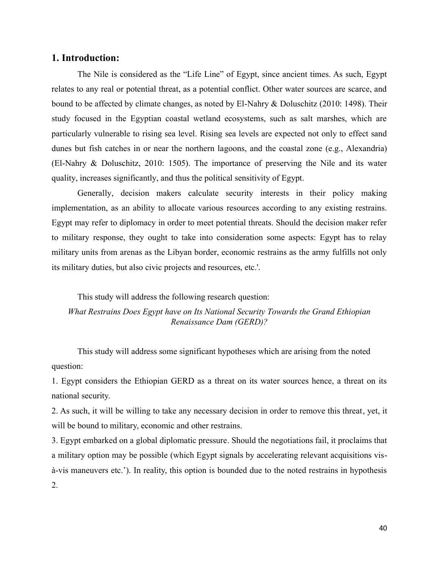### **1. Introduction:**

The Nile is considered as the "Life Line" of Egypt, since ancient times. As such, Egypt relates to any real or potential threat, as a potential conflict. Other water sources are scarce, and bound to be affected by climate changes, as noted by El-Nahry & Doluschitz (2010: 1498). Their study focused in the Egyptian coastal wetland ecosystems, such as salt marshes, which are particularly vulnerable to rising sea level. Rising sea levels are expected not only to effect sand dunes but fish catches in or near the northern lagoons, and the coastal zone (e.g., Alexandria) (El-Nahry & Doluschitz, 2010: 1505). The importance of preserving the Nile and its water quality, increases significantly, and thus the political sensitivity of Egypt.

Generally, decision makers calculate security interests in their policy making implementation, as an ability to allocate various resources according to any existing restrains. Egypt may refer to diplomacy in order to meet potential threats. Should the decision maker refer to military response, they ought to take into consideration some aspects: Egypt has to relay military units from arenas as the Libyan border, economic restrains as the army fulfills not only its military duties, but also civic projects and resources, etc.'.

This study will address the following research question:

*What Restrains Does Egypt have on Its National Security Towards the Grand Ethiopian Renaissance Dam (GERD)?*

This study will address some significant hypotheses which are arising from the noted question:

1. Egypt considers the Ethiopian GERD as a threat on its water sources hence, a threat on its national security.

2. As such, it will be willing to take any necessary decision in order to remove this threat, yet, it will be bound to military, economic and other restrains.

3. Egypt embarked on a global diplomatic pressure. Should the negotiations fail, it proclaims that a military option may be possible (which Egypt signals by accelerating relevant acquisitions visà-vis maneuvers etc.'). In reality, this option is bounded due to the noted restrains in hypothesis 2.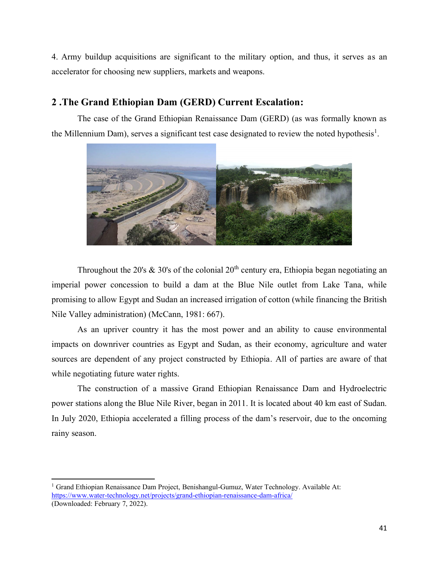4. Army buildup acquisitions are significant to the military option, and thus, it serves as an accelerator for choosing new suppliers, markets and weapons.

# **2 .The Grand Ethiopian Dam (GERD) Current Escalation :**

The case of the Grand Ethiopian Renaissance Dam (GERD) (as was formally known as the Millennium Dam), serves a significant test case designated to review the noted hypothesis<sup>1</sup>.



Throughout the 20's  $\&$  30's of the colonial 20<sup>th</sup> century era, Ethiopia began negotiating an imperial power concession to build a dam at the Blue Nile outlet from Lake Tana, while promising to allow Egypt and Sudan an increased irrigation of cotton (while financing the British Nile Valley administration) (McCann, 1981: 667).

As an upriver country it has the most power and an ability to cause environmental impacts on downriver countries as Egypt and Sudan, as their economy, agriculture and water sources are dependent of any project constructed by Ethiopia. All of parties are aware of that while negotiating future water rights.

The construction of a massive Grand Ethiopian Renaissance Dam and Hydroelectric power stations along the Blue Nile River, began in 2011. It is located about 40 km east of Sudan. In July 2020, Ethiopia accelerated a filling process of the dam's reservoir, due to the oncoming rainy season.

<sup>1</sup> Grand Ethiopian Renaissance Dam Project, Benishangul-Gumuz, Water Technology. Available At: <https://www.water-technology.net/projects/grand-ethiopian-renaissance-dam-africa/>

<sup>(</sup>Downloaded: February 7, 2022).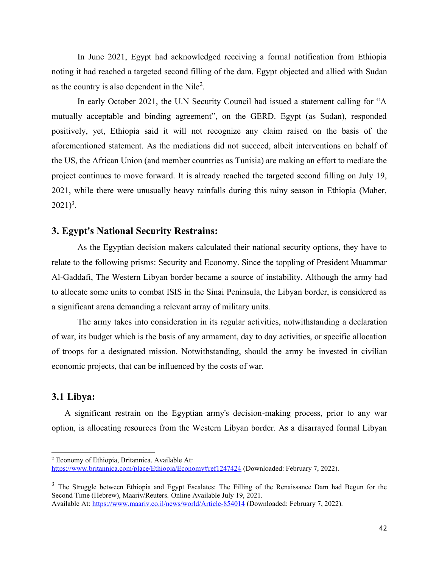In June 2021, Egypt had acknowledged receiving a formal notification from Ethiopia noting it had reached a targeted second filling of the dam. Egypt objected and allied with Sudan as the country is also dependent in the Nile<sup>2</sup>.

In early October 2021, the U.N Security Council had issued a statement calling for "A mutually acceptable and binding agreement", on the GERD. Egypt (as Sudan), responded positively, yet, Ethiopia said it will not recognize any claim raised on the basis of the aforementioned statement. As the mediations did not succeed, albeit interventions on behalf of the US, the African Union (and member countries as Tunisia) are making an effort to mediate the project continues to move forward. It is already reached the targeted second filling on July 19, 2021, while there were unusually heavy rainfalls during this rainy season in Ethiopia (Maher,  $2021)^3$ .

## **3. Egypt's National Security Restrains:**

As the Egyptian decision makers calculated their national security options, they have to relate to the following prisms: Security and Economy. Since the toppling of President Muammar Al-Gaddafi, The Western Libyan border became a source of instability. Although the army had to allocate some units to combat ISIS in the Sinai Peninsula, the Libyan border, is considered as a significant arena demanding a relevant array of military units.

The army takes into consideration in its regular activities, notwithstanding a declaration of war, its budget which is the basis of any armament, day to day activities, or specific allocation of troops for a designated mission. Notwithstanding, should the army be invested in civilian economic projects, that can be influenced by the costs of war.

## **3.1 Libya:**

A significant restrain on the Egyptian army's decision-making process, prior to any war option, is allocating resources from the Western Libyan border. As a disarrayed formal Libyan

<sup>2</sup> Economy of Ethiopia, Britannica. Available At: <https://www.britannica.com/place/Ethiopia/Economy#ref1247424> (Downloaded: February 7, 2022).

<sup>&</sup>lt;sup>3</sup> The Struggle between Ethiopia and Egypt Escalates: The Filling of the Renaissance Dam had Begun for the Second Time (Hebrew), Maariv/Reuters. Online Available July 19, 2021. Available At[: https://www.maariv.co.il/news/world/Article-854014](https://www.maariv.co.il/news/world/Article-854014) (Downloaded: February 7, 2022).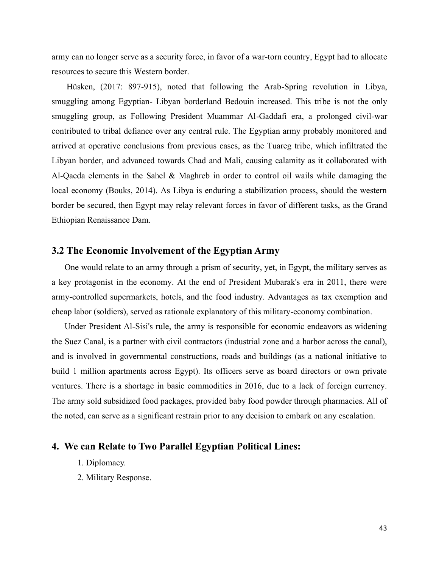army can no longer serve as a security force, in favor of a war-torn country, Egypt had to allocate resources to secure this Western border.

Hüsken, (2017: 897-915), noted that following the Arab-Spring revolution in Libya, smuggling among Egyptian- Libyan borderland Bedouin increased. This tribe is not the only smuggling group, as Following President Muammar Al-Gaddafi era, a prolonged civil-war contributed to tribal defiance over any central rule. The Egyptian army probably monitored and arrived at operative conclusions from previous cases, as the Tuareg tribe, which infiltrated the Libyan border, and advanced towards Chad and Mali, causing calamity as it collaborated with Al-Qaeda elements in the Sahel & Maghreb in order to control oil wails while damaging the local economy (Bouks, 2014). As Libya is enduring a stabilization process, should the western border be secured, then Egypt may relay relevant forces in favor of different tasks, as the Grand Ethiopian Renaissance Dam.

## **3.2 The Economic Involvement of the Egyptian Army**

One would relate to an army through a prism of security, yet, in Egypt, the military serves as a key protagonist in the economy. At the end of President Mubarak's era in 2011, there were army-controlled supermarkets, hotels, and the food industry. Advantages as tax exemption and cheap labor (soldiers), served as rationale explanatory of this military-economy combination.

Under President Al-Sisi's rule, the army is responsible for economic endeavors as widening the Suez Canal, is a partner with civil contractors (industrial zone and a harbor across the canal), and is involved in governmental constructions, roads and buildings (as a national initiative to build 1 million apartments across Egypt). Its officers serve as board directors or own private ventures. There is a shortage in basic commodities in 2016, due to a lack of foreign currency. The army sold subsidized food packages, provided baby food powder through pharmacies. All of the noted, can serve as a significant restrain prior to any decision to embark on any escalation.

## **4. We can Relate to Two Parallel Egyptian Political Lines:**

- 1. Diplomacy.
- 2. Military Response.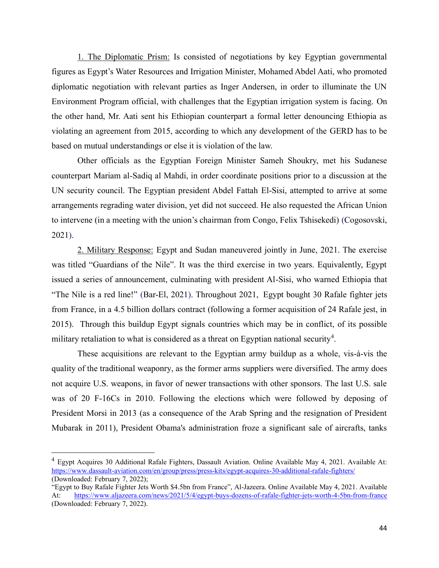1. The Diplomatic Prism: Is consisted of negotiations by key Egyptian governmental figures as Egypt's Water Resources and Irrigation Minister, Mohamed Abdel Aati, who promoted diplomatic negotiation with relevant parties as Inger Andersen, in order to illuminate the UN Environment Program official, with challenges that the Egyptian irrigation system is facing. On the other hand, Mr. Aati sent his Ethiopian counterpart a formal letter denouncing Ethiopia as violating an agreement from 2015, according to which any development of the GERD has to be based on mutual understandings or else it is violation of the law.

Other officials as the Egyptian Foreign Minister Sameh Shoukry, met his Sudanese counterpart Mariam al-Sadiq al Mahdi, in order coordinate positions prior to a discussion at the UN security council. The Egyptian president Abdel Fattah El-Sisi, attempted to arrive at some arrangements regrading water division, yet did not succeed. He also requested the African Union to intervene (in a meeting with the union's chairman from Congo, Felix Tshisekedi) (Cogosovski, 2021).

2. Military Response: Egypt and Sudan maneuvered jointly in June, 2021. The exercise was titled "Guardians of the Nile". It was the third exercise in two years. Equivalently, Egypt issued a series of announcement, culminating with president Al-Sisi, who warned Ethiopia that "The Nile is a red line!" (Bar-El, 2021). Throughout 2021, Egypt bought 30 Rafale fighter jets from France, in a 4.5 billion dollars contract (following a former acquisition of 24 Rafale jest, in 2015). Through this buildup Egypt signals countries which may be in conflict, of its possible military retaliation to what is considered as a threat on Egyptian national security<sup>4</sup>.

These acquisitions are relevant to the Egyptian army buildup as a whole, vis-à-vis the quality of the traditional weaponry, as the former arms suppliers were diversified. The army does not acquire U.S. weapons, in favor of newer transactions with other sponsors. The last U.S. sale was of 20 F-16Cs in 2010. Following the elections which were followed by deposing of President Morsi in 2013 (as a consequence of the Arab Spring and the resignation of President Mubarak in 2011), President Obama's administration froze a significant sale of aircrafts, tanks

<sup>&</sup>lt;sup>4</sup> Egypt Acquires 30 Additional Rafale Fighters, Dassault Aviation. Online Available May 4, 2021. Available At: <https://www.dassault-aviation.com/en/group/press/press-kits/egypt-acquires-30-additional-rafale-fighters/> (Downloaded: February 7, 2022);

<sup>&</sup>quot;Egypt to Buy Rafale Fighter Jets Worth \$4.5bn from France", Al-Jazeera. Online Available May 4, 2021. Available At: <https://www.aljazeera.com/news/2021/5/4/egypt-buys-dozens-of-rafale-fighter-jets-worth-4-5bn-from-france> (Downloaded: February 7, 2022).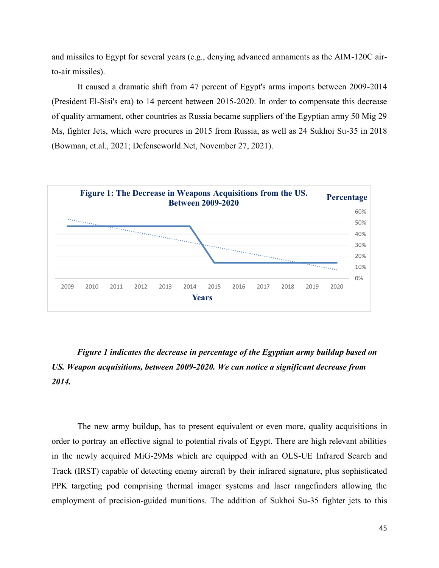and missiles to Egypt for several years (e.g., denying advanced armaments as the AIM-120C airto-air missiles).

It caused a dramatic shift from 47 percent of Egypt's arms imports between 2009-2014 (President El-Sisi's era) to 14 percent between 2015-2020. In order to compensate this decrease of quality armament, other countries as Russia became suppliers of the Egyptian army 50 Mig 29 Ms, fighter Jets, which were procures in 2015 from Russia, as well as 24 Sukhoi Su-35 in 2018 (Bowman, et.al., 2021; Defenseworld.Net, November 27, 2021).



# *Figure 1 indicates the decrease in percentage of the Egyptian army buildup based on US. Weapon acquisitions, between 2009-2020. We can notice a significant decrease from 2014.*

The new army buildup, has to present equivalent or even more, quality acquisitions in order to portray an effective signal to potential rivals of Egypt. There are high relevant abilities in the newly acquired MiG-29Ms which are equipped with an OLS-UE Infrared Search and Track (IRST) capable of detecting enemy aircraft by their infrared signature, plus sophisticated PPK targeting pod comprising thermal imager systems and laser rangefinders allowing the employment of precision-guided munitions. The addition of Sukhoi Su-35 fighter jets to this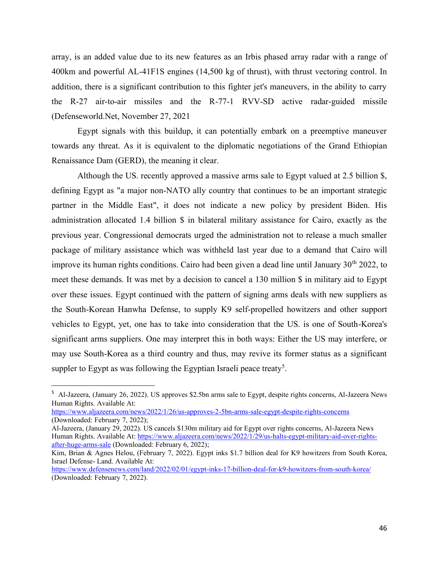array, is an added value due to its new features as an Irbis phased array radar with a range of 400km and powerful AL-41F1S engines (14,500 kg of thrust), with thrust vectoring control. In addition, there is a significant contribution to this fighter jet's maneuvers, in the ability to carry the R-27 air-to-air missiles and the R-77-1 RVV-SD active radar-guided missile (Defenseworld.Net, November 27, 2021

Egypt signals with this buildup, it can potentially embark on a preemptive maneuver towards any threat. As it is equivalent to the diplomatic negotiations of the Grand Ethiopian Renaissance Dam (GERD), the meaning it clear.

Although the US. recently approved a massive arms sale to Egypt valued at 2.5 billion \$, defining Egypt as "a major non-NATO ally country that continues to be an important strategic partner in the Middle East", it does not indicate a new policy by president Biden. His administration allocated 1.4 billion \$ in bilateral military assistance for Cairo, exactly as the previous year. Congressional democrats urged the administration not to release a much smaller package of military assistance which was withheld last year due to a demand that Cairo will improve its human rights conditions. Cairo had been given a dead line until January  $30<sup>th</sup> 2022$ , to meet these demands. It was met by a decision to cancel a 130 million \$ in military aid to Egypt over these issues. Egypt continued with the pattern of signing arms deals with new suppliers as the South-Korean Hanwha Defense, to supply K9 self-propelled howitzers and other support vehicles to Egypt, yet, one has to take into consideration that the US. is one of South-Korea's significant arms suppliers. One may interpret this in both ways: Either the US may interfere, or may use South-Korea as a third country and thus, may revive its former status as a significant suppler to Egypt as was following the Egyptian Israeli peace treaty<sup>5</sup>.

<sup>&</sup>lt;sup>5</sup> Al-Jazeera, (January 26, 2022). US approves \$2.5bn arms sale to Egypt, despite rights concerns, Al-Jazeera News Human Rights. Available At:

<https://www.aljazeera.com/news/2022/1/26/us-approves-2-5bn-arms-sale-egypt-despite-rights-concerns> (Downloaded: February 7, 2022);

Al-Jazeera, (January 29, 2022). US cancels \$130m military aid for Egypt over rights concerns, Al-Jazeera News Human Rights. Available At[: https://www.aljazeera.com/news/2022/1/29/us-halts-egypt-military-aid-over-rights](https://www.aljazeera.com/news/2022/1/29/us-halts-egypt-military-aid-over-rights-after-huge-arms-sale)[after-huge-arms-sale](https://www.aljazeera.com/news/2022/1/29/us-halts-egypt-military-aid-over-rights-after-huge-arms-sale) (Downloaded: February 6, 2022);

Kim, Brian & Agnes Helou, (February 7, 2022). Egypt inks \$1.7 billion deal for K9 howitzers from South Korea, Israel Defense- Land. Available At:

[https://www.defensenews.com/land/2022/02/01/egypt-inks-17-billion-deal-for-k9-howitzers-from-south-korea](https://www.defensenews.com/land/2022/02/01/egypt-inks-17-billion-deal-for-k9-howitzers-from-south-korea/)[/](https://www.defensenews.com/land/2022/02/01/egypt-inks-17-billion-deal-for-k9-howitzers-from-south-korea/) (Downloaded: February 7, 2022).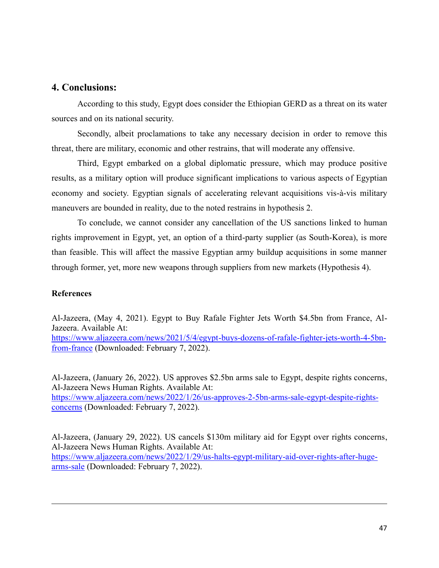## **4. Conclusions:**

According to this study, Egypt does consider the Ethiopian GERD as a threat on its water sources and on its national security.

Secondly, albeit proclamations to take any necessary decision in order to remove this threat, there are military, economic and other restrains, that will moderate any offensive.

Third, Egypt embarked on a global diplomatic pressure, which may produce positive results, as a military option will produce significant implications to various aspects of Egyptian economy and society. Egyptian signals of accelerating relevant acquisitions vis-à-vis military maneuvers are bounded in reality, due to the noted restrains in hypothesis 2.

To conclude, we cannot consider any cancellation of the US sanctions linked to human rights improvement in Egypt, yet, an option of a third-party supplier (as South-Korea), is more than feasible. This will affect the massive Egyptian army buildup acquisitions in some manner through former, yet, more new weapons through suppliers from new markets (Hypothesis 4).

#### **References**

Al-Jazeera, (May 4, 2021). Egypt to Buy Rafale Fighter Jets Worth \$4.5bn from France, Al-Jazeera. Available At: [https://www.aljazeera.com/news/2021/5/4/egypt-buys-dozens-of-rafale-fighter-jets-worth-4-5bn-](https://www.aljazeera.com/news/2021/5/4/egypt-buys-dozens-of-rafale-fighter-jets-worth-4-5bn-from-france)

[from-france](https://www.aljazeera.com/news/2021/5/4/egypt-buys-dozens-of-rafale-fighter-jets-worth-4-5bn-from-france) (Downloaded: February 7, 2022).

Al-Jazeera, (January 26, 2022). US approves \$2.5bn arms sale to Egypt, despite rights concerns, Al-Jazeera News Human Rights. Available At: [https://www.aljazeera.com/news/2022/1/26/us-approves-2-5bn-arms-sale-egypt-despite-rights](https://www.aljazeera.com/news/2022/1/26/us-approves-2-5bn-arms-sale-egypt-despite-rights-concerns)[concerns](https://www.aljazeera.com/news/2022/1/26/us-approves-2-5bn-arms-sale-egypt-despite-rights-concerns) (Downloaded: February 7, 2022).

Al-Jazeera, (January 29, 2022). US cancels \$130m military aid for Egypt over rights concerns, Al-Jazeera News Human Rights. Available At: [https://www.aljazeera.com/news/2022/1/29/us-halts-egypt-military-aid-over-rights-after-huge](https://www.aljazeera.com/news/2022/1/29/us-halts-egypt-military-aid-over-rights-after-huge-arms-sale)[arms-sale](https://www.aljazeera.com/news/2022/1/29/us-halts-egypt-military-aid-over-rights-after-huge-arms-sale) (Downloaded: February 7, 2022).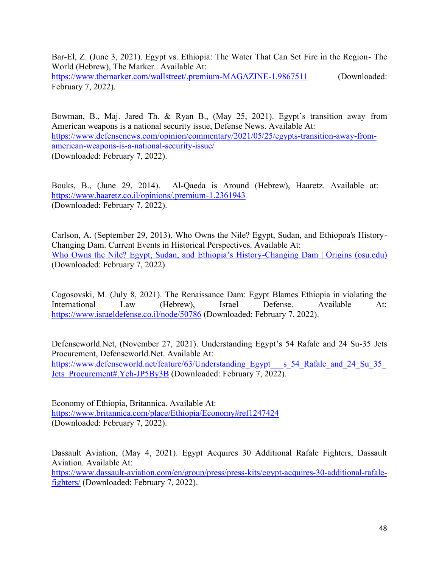Bar-El, Z. (June 3, 2021). Egypt vs. Ethiopia: The Water That Can Set Fire in the Region- The World (Hebrew), The Marker.. Available At:

<https://www.themarker.com/wallstreet/.premium-MAGAZINE-1.9867511> (Downloaded: February 7, 2022).

Bowman, B., Maj. Jared Th. & Ryan B., (May 25, 2021). Egypt's transition away from American weapons is a national security issue, Defense News. Available At: [https://www.defensenews.com/opinion/commentary/2021/05/25/egypts-transition-away-from](https://www.defensenews.com/opinion/commentary/2021/05/25/egypts-transition-away-from-american-weapons-is-a-national-security-issue/)[american-weapons-is-a-national-security-issue/](https://www.defensenews.com/opinion/commentary/2021/05/25/egypts-transition-away-from-american-weapons-is-a-national-security-issue/) (Downloaded: February 7, 2022).

Bouks, B., (June 29, 2014). Al-Qaeda is Around (Hebrew), Haaretz. Available at: <https://www.haaretz.co.il/opinions/.premium-1.2361943> (Downloaded: February 7, 2022).

Carlson, A. (September 29, 2013). Who Owns the Nile? Egypt, Sudan, and Ethiopoa's History-Changing Dam. Current Events in Historical Perspectives. Available At: [Who Owns the Nile? Egypt, Sudan, and Ethiopia's History](https://origins.osu.edu/article/who-owns-nile-egypt-sudan-and-ethiopia-s-history-changing-dam)-Changing Dam | Origins (osu.edu) (Downloaded: February 7, 2022).

Cogosovski, M. (July 8, 2021). The Renaissance Dam: Egypt Blames Ethiopia in violating the International Law (Hebrew), Israel Defense. Available At: <https://www.israeldefense.co.il/node/50786> (Downloaded: February 7, 2022).

Defenseworld.Net, (November 27, 2021). Understanding Egypt's 54 Rafale and 24 Su-35 Jets Procurement, Defenseworld.Net. Available At: https://www.defenseworld.net/feature/63/Understanding\_Egypt \_\_s\_54\_Rafale\_and\_24\_Su\_35 Jets Procurement#.Yeh-JP5By3B (Downloaded: February 7, 2022).

Economy of Ethiopia, Britannica. Available At: <https://www.britannica.com/place/Ethiopia/Economy#ref1247424> (Downloaded: February 7, 2022).

Dassault Aviation, (May 4, 2021). Egypt Acquires 30 Additional Rafale Fighters, Dassault Aviation. Available At: [https://www.dassault-aviation.com/en/group/press/press-kits/egypt-acquires-30-additional-rafale-](https://www.dassault-aviation.com/en/group/press/press-kits/egypt-acquires-30-additional-rafale-fighters/)

[fighters/](https://www.dassault-aviation.com/en/group/press/press-kits/egypt-acquires-30-additional-rafale-fighters/) (Downloaded: February 7, 2022).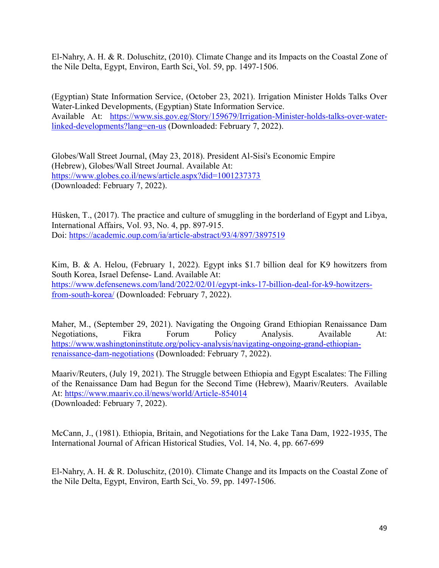El-Nahry, A. H. & R. Doluschitz, (2010). Climate Change and its Impacts on the Coastal Zone of the Nile Delta, Egypt, Environ, Earth Sci, Vol. 59, pp. 1497-1506.

(Egyptian) State Information Service, (October 23, 2021). Irrigation Minister Holds Talks Over Water-Linked Developments, (Egyptian) State Information Service. Available At: [https://www.sis.gov.eg/Story/159679/Irrigation-Minister-holds-talks-over-water](https://www.sis.gov.eg/Story/159679/Irrigation-Minister-holds-talks-over-water-linked-developments?lang=en-us)[linked-developments?lang=en-us](https://www.sis.gov.eg/Story/159679/Irrigation-Minister-holds-talks-over-water-linked-developments?lang=en-us) (Downloaded: February 7, 2022).

Globes/Wall Street Journal, (May 23, 2018). President Al-Sisi's Economic Empire (Hebrew), Globes/Wall Street Journal. Available At: <https://www.globes.co.il/news/article.aspx?did=1001237373> (Downloaded: February 7, 2022).

Hüsken, T., (2017). The practice and culture of smuggling in the borderland of Egypt and Libya, International Affairs, Vol. 93, No. 4, pp. 897-915. Doi:<https://academic.oup.com/ia/article-abstract/93/4/897/3897519>

Kim, B. & A. Helou, (February 1, 2022). Egypt inks \$1.7 billion deal for K9 howitzers from South Korea, Israel Defense- Land. Available At: [https://www.defensenews.com/land/2022/02/01/egypt-inks-17-billion-deal-for-k9-howitzers](https://www.defensenews.com/land/2022/02/01/egypt-inks-17-billion-deal-for-k9-howitzers-from-south-korea/)[from-south-korea](https://www.defensenews.com/land/2022/02/01/egypt-inks-17-billion-deal-for-k9-howitzers-from-south-korea/)/ (Downloaded: February 7, 2022).

Maher, M., (September 29, 2021). Navigating the Ongoing Grand Ethiopian Renaissance Dam Negotiations, Fikra Forum Policy Analysis. Available At: [https://www.washingtoninstitute.org/policy-analysis/navigating-ongoing-grand-ethiopian](https://www.washingtoninstitute.org/policy-analysis/navigating-ongoing-grand-ethiopian-renaissance-dam-negotiations)[renaissance-dam-negotiations](https://www.washingtoninstitute.org/policy-analysis/navigating-ongoing-grand-ethiopian-renaissance-dam-negotiations) (Downloaded: February 7, 2022).

Maariv/Reuters, (July 19, 2021). The Struggle between Ethiopia and Egypt Escalates: The Filling of the Renaissance Dam had Begun for the Second Time (Hebrew), Maariv/Reuters. Available At: <https://www.maariv.co.il/news/world/Article-854014> (Downloaded: February 7, 2022).

McCann, J., (1981). Ethiopia, Britain, and Negotiations for the Lake Tana Dam, 1922-1935, The International Journal of African Historical Studies, Vol. 14, No. 4, pp. 667-699

El-Nahry, A. H. & R. Doluschitz, (2010). Climate Change and its Impacts on the Coastal Zone of the Nile Delta, Egypt, Environ, Earth Sci, Vo. 59, pp. 1497-1506.